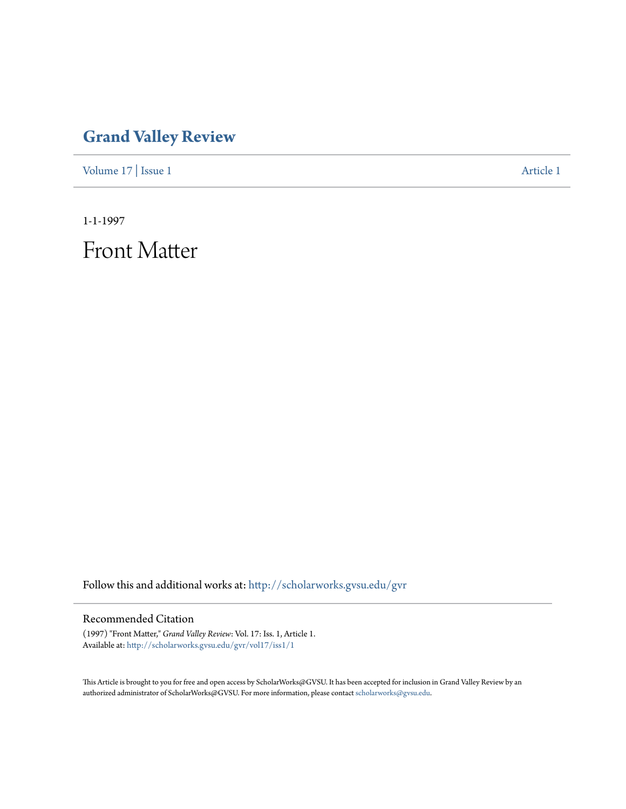## **[Grand Valley Review](http://scholarworks.gvsu.edu/gvr?utm_source=scholarworks.gvsu.edu%2Fgvr%2Fvol17%2Fiss1%2F1&utm_medium=PDF&utm_campaign=PDFCoverPages)**

[Volume 17](http://scholarworks.gvsu.edu/gvr/vol17?utm_source=scholarworks.gvsu.edu%2Fgvr%2Fvol17%2Fiss1%2F1&utm_medium=PDF&utm_campaign=PDFCoverPages) | [Issue 1](http://scholarworks.gvsu.edu/gvr/vol17/iss1?utm_source=scholarworks.gvsu.edu%2Fgvr%2Fvol17%2Fiss1%2F1&utm_medium=PDF&utm_campaign=PDFCoverPages) [Article 1](http://scholarworks.gvsu.edu/gvr/vol17/iss1/1?utm_source=scholarworks.gvsu.edu%2Fgvr%2Fvol17%2Fiss1%2F1&utm_medium=PDF&utm_campaign=PDFCoverPages)

1-1-1997

Front Matter

Follow this and additional works at: [http://scholarworks.gvsu.edu/gvr](http://scholarworks.gvsu.edu/gvr?utm_source=scholarworks.gvsu.edu%2Fgvr%2Fvol17%2Fiss1%2F1&utm_medium=PDF&utm_campaign=PDFCoverPages)

#### Recommended Citation

(1997) "Front Matter," *Grand Valley Review*: Vol. 17: Iss. 1, Article 1. Available at: [http://scholarworks.gvsu.edu/gvr/vol17/iss1/1](http://scholarworks.gvsu.edu/gvr/vol17/iss1/1?utm_source=scholarworks.gvsu.edu%2Fgvr%2Fvol17%2Fiss1%2F1&utm_medium=PDF&utm_campaign=PDFCoverPages)

This Article is brought to you for free and open access by ScholarWorks@GVSU. It has been accepted for inclusion in Grand Valley Review by an authorized administrator of ScholarWorks@GVSU. For more information, please contact [scholarworks@gvsu.edu.](mailto:scholarworks@gvsu.edu)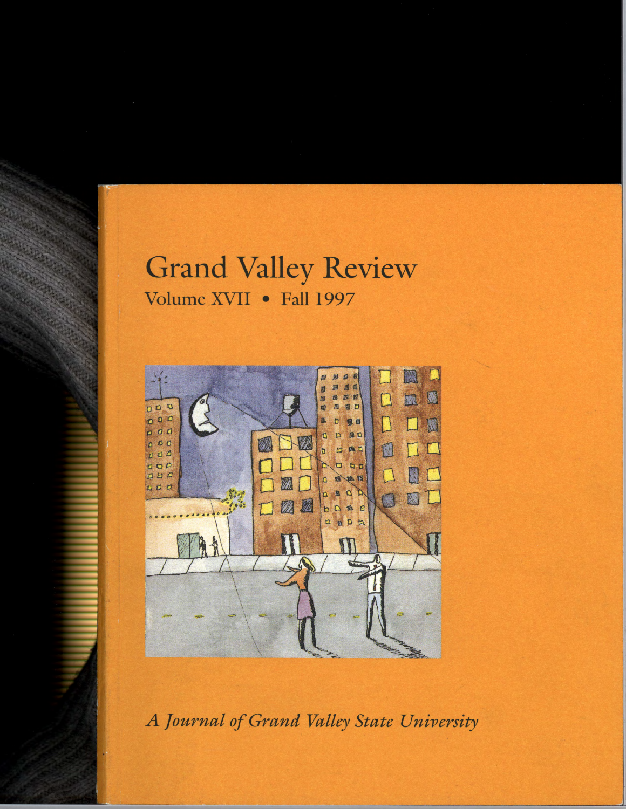## **Grand Valley Review** Volume XVII · Fall 1997



A Journal of Grand Valley State University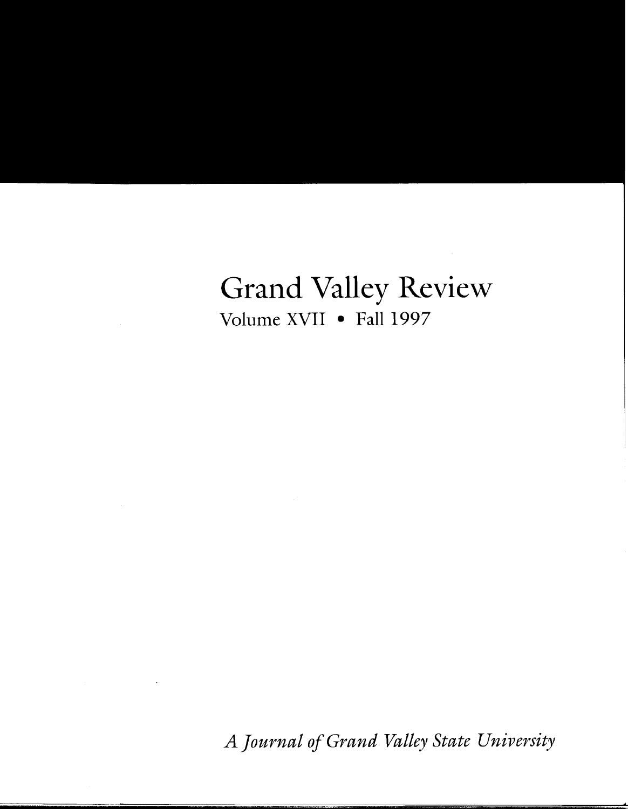# Grand Valley Review Volume XVII • Fall 1997

*A Journal of Grand Valley State University*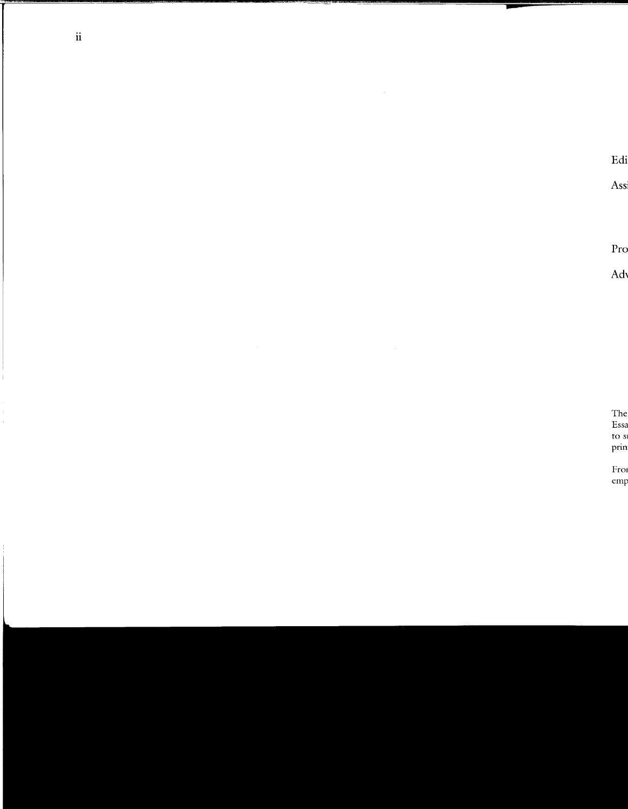$\mathcal{L}^{\text{max}}_{\text{max}}$  and  $\mathcal{L}^{\text{max}}_{\text{max}}$